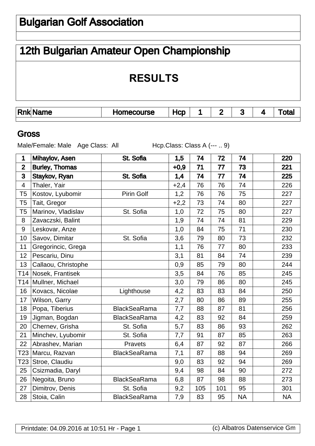# Bulgarian Golf Association

# 12th Bulgarian Amateur Open Championship

# **RESULTS**

| 'Rnk<br>lame | urse<br>n.<br>- - | $-$ |  | . . | . . |  |
|--------------|-------------------|-----|--|-----|-----|--|
|              |                   |     |  |     |     |  |

#### **Gross**

Male/Female: Male Age Class: All Hcp.Class: Class A (--- .. 9)

| 1                | Mihaylov, Asen        | St. Sofia           | 1,5    | 74  | 72  | 74        | 220       |
|------------------|-----------------------|---------------------|--------|-----|-----|-----------|-----------|
| $\overline{2}$   | <b>Burley, Thomas</b> |                     | $+0,9$ | 71  | 77  | 73        | 221       |
| 3                | Staykov, Ryan         | St. Sofia           | 1,4    | 74  | 77  | 74        | 225       |
| 4                | Thaler, Yair          |                     | $+2,4$ | 76  | 76  | 74        | 226       |
| T <sub>5</sub>   | Kostov, Lyubomir      | Pirin Golf          | 1,2    | 76  | 76  | 75        | 227       |
| T <sub>5</sub>   | Tait, Gregor          |                     | $+2,2$ | 73  | 74  | 80        | 227       |
| T <sub>5</sub>   | Marinov, Vladislav    | St. Sofia           | 1,0    | 72  | 75  | 80        | 227       |
| 8                | Zavaczski, Balint     |                     | 1,9    | 74  | 74  | 81        | 229       |
| $\boldsymbol{9}$ | Leskovar, Anze        |                     | 1,0    | 84  | 75  | 71        | 230       |
| 10               | Savov, Dimitar        | St. Sofia           | 3,6    | 79  | 80  | 73        | 232       |
| 11               | Gregorincic, Grega    |                     | 1,1    | 76  | 77  | 80        | 233       |
| 12               | Pescariu, Dinu        |                     | 3,1    | 81  | 84  | 74        | 239       |
| 13               | Callaou, Christophe   |                     | 0,9    | 85  | 79  | 80        | 244       |
| T14              | Nosek, Frantisek      |                     | 3,5    | 84  | 76  | 85        | 245       |
| T14              | Mullner, Michael      |                     | 3,0    | 79  | 86  | 80        | 245       |
| 16               | Kovacs, Nicolae       | Lighthouse          | 4,2    | 83  | 83  | 84        | 250       |
| 17               | Wilson, Garry         |                     | 2,7    | 80  | 86  | 89        | 255       |
| 18               | Popa, Tiberius        | <b>BlackSeaRama</b> | 7,7    | 88  | 87  | 81        | 256       |
| 19               | Jigman, Bogdan        | <b>BlackSeaRama</b> | 4,2    | 83  | 92  | 84        | 259       |
| 20               | Chernev, Grisha       | St. Sofia           | 5,7    | 83  | 86  | 93        | 262       |
| 21               | Minchev, Lyubomir     | St. Sofia           | 7,7    | 91  | 87  | 85        | 263       |
| 22               | Abrashev, Marian      | Pravets             | 6,4    | 87  | 92  | 87        | 266       |
| T23              | Marcu, Razvan         | <b>BlackSeaRama</b> | 7,1    | 87  | 88  | 94        | 269       |
| T23              | Stroe, Claudiu        |                     | 9,0    | 83  | 92  | 94        | 269       |
| 25               | Csizmadia, Daryl      |                     | 9,4    | 98  | 84  | 90        | 272       |
| 26               | Negoita, Bruno        | <b>BlackSeaRama</b> | 6,8    | 87  | 98  | 88        | 273       |
| 27               | Dimitrov, Denis       | St. Sofia           | 9,2    | 105 | 101 | 95        | 301       |
| 28               | Stoia, Calin          | <b>BlackSeaRama</b> | 7,9    | 83  | 95  | <b>NA</b> | <b>NA</b> |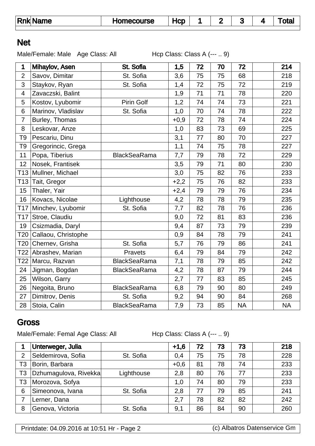| <b>Rnk Name</b> | <b>Homecourse</b> | -lCD |  |  |  |  | ⊺ota |
|-----------------|-------------------|------|--|--|--|--|------|
|-----------------|-------------------|------|--|--|--|--|------|

### Net

Male/Female: Male Age Class: All Hcp Class: Class A (--- .. 9)

| $\mathbf 1$     | Mihaylov, Asen      | St. Sofia           | 1,5    | 72 | 70 | 72        | 214       |
|-----------------|---------------------|---------------------|--------|----|----|-----------|-----------|
| $\overline{2}$  | Savov, Dimitar      | St. Sofia           | 3,6    | 75 | 75 | 68        | 218       |
| 3               | Staykov, Ryan       | St. Sofia           | 1,4    | 72 | 75 | 72        | 219       |
| $\overline{4}$  | Zavaczski, Balint   |                     | 1,9    | 71 | 71 | 78        | 220       |
| 5               | Kostov, Lyubomir    | Pirin Golf          | 1,2    | 74 | 74 | 73        | 221       |
| 6               | Marinov, Vladislav  | St. Sofia           | 1,0    | 70 | 74 | 78        | 222       |
| $\overline{7}$  | Burley, Thomas      |                     | $+0,9$ | 72 | 78 | 74        | 224       |
| 8               | Leskovar, Anze      |                     | 1,0    | 83 | 73 | 69        | 225       |
| T <sub>9</sub>  | Pescariu, Dinu      |                     | 3,1    | 77 | 80 | 70        | 227       |
| T <sub>9</sub>  | Gregorincic, Grega  |                     | 1,1    | 74 | 75 | 78        | 227       |
| 11              | Popa, Tiberius      | <b>BlackSeaRama</b> | 7,7    | 79 | 78 | 72        | 229       |
| 12              | Nosek, Frantisek    |                     | 3,5    | 79 | 71 | 80        | 230       |
| T13             | Mullner, Michael    |                     | 3,0    | 75 | 82 | 76        | 233       |
| T <sub>13</sub> | Tait, Gregor        |                     | $+2,2$ | 75 | 76 | 82        | 233       |
| 15              | Thaler, Yair        |                     | $+2,4$ | 79 | 79 | 76        | 234       |
| 16              | Kovacs, Nicolae     | Lighthouse          | 4,2    | 78 | 78 | 79        | 235       |
| T17             | Minchev, Lyubomir   | St. Sofia           | 7,7    | 82 | 78 | 76        | 236       |
| T17             | Stroe, Claudiu      |                     | 9,0    | 72 | 81 | 83        | 236       |
| 19              | Csizmadia, Daryl    |                     | 9,4    | 87 | 73 | 79        | 239       |
| T20             | Callaou, Christophe |                     | 0,9    | 84 | 78 | 79        | 241       |
| T <sub>20</sub> | Chernev, Grisha     | St. Sofia           | 5,7    | 76 | 79 | 86        | 241       |
| T22             | Abrashev, Marian    | Pravets             | 6,4    | 79 | 84 | 79        | 242       |
| T22             | Marcu, Razvan       | <b>BlackSeaRama</b> | 7,1    | 78 | 79 | 85        | 242       |
| 24              | Jigman, Bogdan      | <b>BlackSeaRama</b> | 4,2    | 78 | 87 | 79        | 244       |
| 25              | Wilson, Garry       |                     | 2,7    | 77 | 83 | 85        | 245       |
| 26              | Negoita, Bruno      | <b>BlackSeaRama</b> | 6,8    | 79 | 90 | 80        | 249       |
| 27              | Dimitrov, Denis     | St. Sofia           | 9,2    | 94 | 90 | 84        | 268       |
| 28              | Stoia, Calin        | <b>BlackSeaRama</b> | 7,9    | 73 | 85 | <b>NA</b> | <b>NA</b> |

### **Gross**

Male/Female: Femal Age Class: All Hcp Class: Class A (--- .. 9)

|    | Unterweger, Julia     |            | $+1,6$ | 72 | 73 | 73 | 218 |
|----|-----------------------|------------|--------|----|----|----|-----|
| 2  | Seldemirova, Sofia    | St. Sofia  | 0,4    | 75 | 75 | 78 | 228 |
| T3 | Borin, Barbara        |            | $+0,6$ | 81 | 78 | 74 | 233 |
| T3 | Dzhumagulova, Rivekka | Lighthouse | 2,8    | 80 | 76 | 77 | 233 |
| T3 | Morozova, Sofya       |            | 1.0    | 74 | 80 | 79 | 233 |
| 6  | Simeonova, Ivana      | St. Sofia  | 2,8    | 77 | 79 | 85 | 241 |
| 7  | Lerner, Dana          |            | 2,7    | 78 | 82 | 82 | 242 |
| 8  | Genova, Victoria      | St. Sofia  | 9,1    | 86 | 84 | 90 | 260 |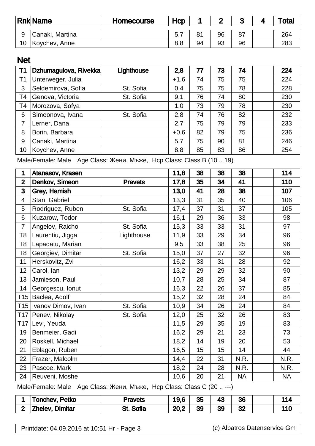|    | <b>Rnk Name</b> | <b>Homecourse</b> | Hcp |                | ◠  | u  | 'ota |
|----|-----------------|-------------------|-----|----------------|----|----|------|
| 9  | Canaki, Martina |                   | 5,  | 8 <sup>1</sup> | 96 | 87 | 264  |
| 10 | Koychev, Anne   |                   | 8,8 | 94             | 93 | 96 | 283  |

## Net

| T <sub>1</sub> | Dzhumagulova, Rivekka | Lighthouse | 2,8    | 77 | 73 | 74 | 224 |
|----------------|-----------------------|------------|--------|----|----|----|-----|
| T <sub>1</sub> | Unterweger, Julia     |            | $+1,6$ | 74 | 75 | 75 | 224 |
| 3              | Seldemirova, Sofia    | St. Sofia  | 0,4    | 75 | 75 | 78 | 228 |
| T4             | Genova, Victoria      | St. Sofia  | 9,1    | 76 | 74 | 80 | 230 |
| T4             | Morozova, Sofya       |            | 1,0    | 73 | 79 | 78 | 230 |
| 6              | Simeonova, Ivana      | St. Sofia  | 2,8    | 74 | 76 | 82 | 232 |
| 7              | Lerner, Dana          |            | 2,7    | 75 | 79 | 79 | 233 |
| 8              | Borin, Barbara        |            | $+0,6$ | 82 | 79 | 75 | 236 |
| 9              | Canaki, Martina       |            | 5,7    | 75 | 90 | 81 | 246 |
| 10             | Koychev, Anne         |            | 8,8    | 85 | 83 | 86 | 254 |

Male/Female: Male Age Class:  $\mu$ , Mop Class: Class B (10 .. 19)

| 1               | Atanasov, Krasen   |                | 11,8 | 38 | 38 | 38        | 114       |
|-----------------|--------------------|----------------|------|----|----|-----------|-----------|
| $\overline{2}$  | Denkov, Simeon     | <b>Pravets</b> | 17,8 | 35 | 34 | 41        | 110       |
| 3               | Grey, Hamish       |                | 13,0 | 41 | 28 | 38        | 107       |
| $\overline{4}$  | Stan, Gabriel      |                | 13,3 | 31 | 35 | 40        | 106       |
| 5               | Rodriguez, Ruben   | St. Sofia      | 17,4 | 37 | 31 | 37        | 105       |
| 6               | Kuzarow, Todor     |                | 16,1 | 29 | 36 | 33        | 98        |
| $\overline{7}$  | Angelov, Raicho    | St. Sofia      | 15,3 | 33 | 33 | 31        | 97        |
| T8              | Laurentiu, Jigga   | Lighthouse     | 11,9 | 33 | 29 | 34        | 96        |
| T8              | Lapadatu, Marian   |                | 9,5  | 33 | 38 | 25        | 96        |
| T8              | Georgiev, Dimitar  | St. Sofia      | 15,0 | 37 | 27 | 32        | 96        |
| 11              | Herskovitz, Zvi    |                | 16,2 | 33 | 31 | 28        | 92        |
| 12              | Carol, Ian         |                | 13,2 | 29 | 29 | 32        | 90        |
| 13              | Jamieson, Paul     |                | 10,7 | 28 | 25 | 34        | 87        |
| 14              | Georgescu, Ionut   |                | 16,3 | 22 | 26 | 37        | 85        |
| T15             | Baclea, Adolf      |                | 15,2 | 32 | 28 | 24        | 84        |
| T15             | Ivanov Dimov, Ivan | St. Sofia      | 10,9 | 34 | 26 | 24        | 84        |
| T17             | Penev, Nikolay     | St. Sofia      | 12,0 | 25 | 32 | 26        | 83        |
| T <sub>17</sub> | Levi, Yeuda        |                | 11,5 | 29 | 35 | 19        | 83        |
| 19              | Benmeier, Gadi     |                | 16,2 | 29 | 21 | 23        | 73        |
| 20              | Roskell, Michael   |                | 18,2 | 14 | 19 | 20        | 53        |
| 21              | Eblagon, Ruben     |                | 16,5 | 15 | 15 | 14        | 44        |
| 22              | Frazer, Malcolm    |                | 14,4 | 22 | 31 | N.R.      | N.R.      |
| 23              | Pascoe, Mark       |                | 18,2 | 24 | 28 | N.R.      | N.R.      |
| 24              | Reuveni, Moshe     |                | 10,6 | 20 | 21 | <b>NA</b> | <b>NA</b> |

Male/Female: Male Age Class:  $\mu$ , Mop Class: Class C (20 .. ---)

|   | Tonchev, Petko         | Pravets          | 19,6 | 35 | 43 | 36 |                 |
|---|------------------------|------------------|------|----|----|----|-----------------|
| ◠ | <b>Zhelev, Dimitar</b> | <b>St. Sofia</b> | י ∩ר | 39 | 39 | ◡∠ | $\overline{10}$ |